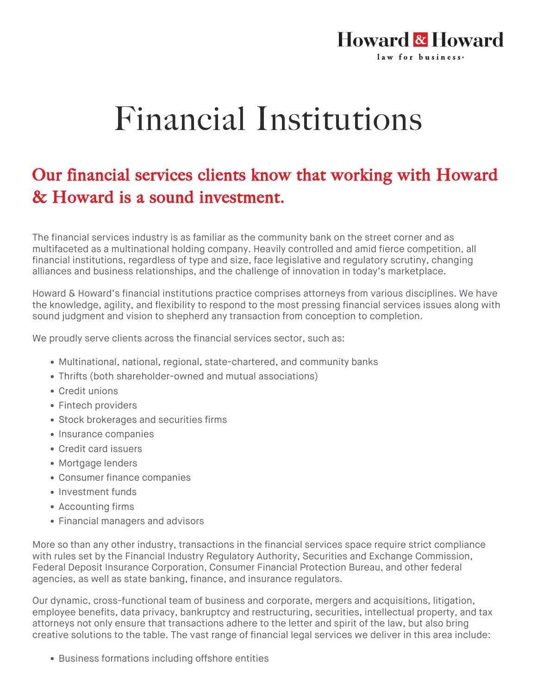## Financial Institutions

**Howard & Howard** law for business.

## Our financial services clients know that working with Howard & Howard is a sound investment.

The financial services industry is as familiar as the community bank on the street corner and as multifaceted as a multinational holding company. Heavily controlled and amid fierce competition, all financial institutions, regardless of type and size, face legislative and regulatory scrutiny, changing alliances and business relationships, and the challenge of innovation in today's marketplace.

Howard & Howard's financial institutions practice comprises attorneys from various disciplines. We have the knowledge, agility, and flexibility to respond to the most pressing financial services issues along with sound judgment and vision to shepherd any transaction from conception to completion.

We proudly serve clients across the financial services sector, such as:

- Multinational, national, regional, state-chartered, and community banks
- Thrifts (both shareholder-owned and mutual associations)
- Credit unions
- Fintech providers
- Stock brokerages and securities firms
- Insurance companies
- Credit card issuers
- Mortgage lenders
- Consumer finance companies
- Investment funds
- Accounting firms
- Financial managers and advisors

More so than any other industry, transactions in the financial services space require strict compliance with rules set by the Financial Industry Regulatory Authority, Securities and Exchange Commission, Federal Deposit Insurance Corporation, Consumer Financial Protection Bureau, and other federal agencies, as well as state banking, finance, and insurance regulators.

Our dynamic, cross-functional team of business and corporate, mergers and acquisitions, litigation, employee benefits, data privacy, bankruptcy and restructuring, securities, intellectual property, and tax attorneys not only ensure that transactions adhere to the letter and spirit of the law, but also bring creative solutions to the table. The vast range of financial legal services we deliver in this area include:

**• Business formations including offshore entities**